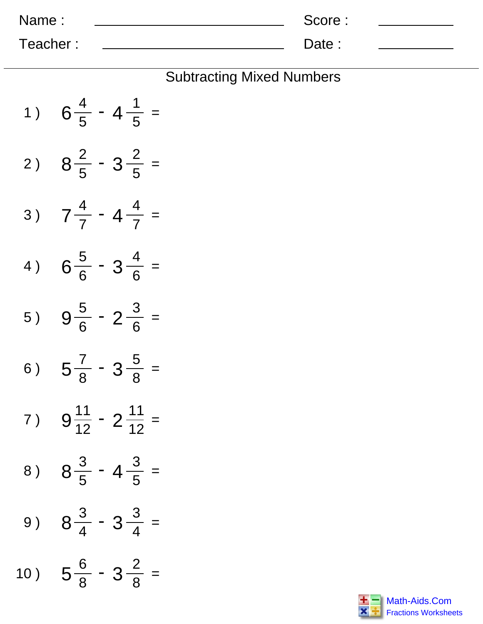| Name:    | Score: |  |
|----------|--------|--|
| Teacher: | Date : |  |

## Subtracting Mixed Numbers

| 1)  | $6\frac{4}{5}$ - 4 $\frac{1}{5}$ =  |
|-----|-------------------------------------|
| 2 ) | $8\frac{2}{5} - 3\frac{2}{5} =$     |
| 3)  | $7\frac{4}{7}$ - 4 $\frac{4}{7}$ =  |
| 4)  | $6\frac{5}{6} - 3\frac{4}{6}$ =     |
| 5)  | $9\frac{5}{6} - 2\frac{3}{6} =$     |
| 6)  | $5\frac{7}{8} - 3\frac{5}{8}$ =     |
| 7)  | $9\frac{11}{12} - 2\frac{11}{12} =$ |
| 8)  | $8\frac{3}{5}$ - 4 $\frac{3}{5}$ =  |
| 9 ) | $8\frac{3}{4} - 3\frac{3}{4}$ =     |
| 10) | $5\frac{6}{8}$ - $3\frac{2}{8}$     |